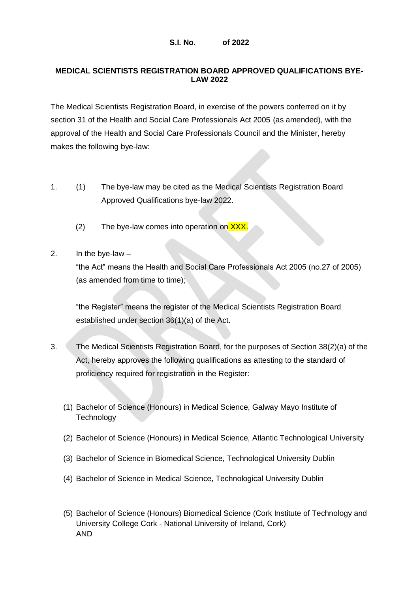## **S.I. No. of 2022**

## **MEDICAL SCIENTISTS REGISTRATION BOARD APPROVED QUALIFICATIONS BYE-LAW 2022**

The Medical Scientists Registration Board, in exercise of the powers conferred on it by section 31 of the Health and Social Care Professionals Act 2005 (as amended), with the approval of the Health and Social Care Professionals Council and the Minister, hereby makes the following bye-law:

- 1. (1) The bye-law may be cited as the Medical Scientists Registration Board Approved Qualifications bye-law 2022.
	- (2) The bye-law comes into operation on  $\overline{XXX}$ .
- 2. In the bye-law –

"the Act" means the Health and Social Care Professionals Act 2005 (no.27 of 2005) (as amended from time to time);

"the Register" means the register of the Medical Scientists Registration Board established under section 36(1)(a) of the Act.

- 3. The Medical Scientists Registration Board, for the purposes of Section 38(2)(a) of the Act, hereby approves the following qualifications as attesting to the standard of proficiency required for registration in the Register:
	- (1) Bachelor of Science (Honours) in Medical Science, Galway Mayo Institute of **Technology**
	- (2) Bachelor of Science (Honours) in Medical Science, Atlantic Technological University
	- (3) Bachelor of Science in Biomedical Science, Technological University Dublin
	- (4) Bachelor of Science in Medical Science, Technological University Dublin
	- (5) Bachelor of Science (Honours) Biomedical Science (Cork Institute of Technology and University College Cork - National University of Ireland, Cork) AND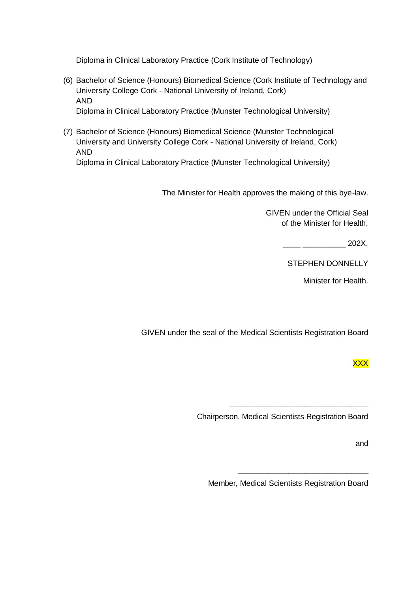Diploma in Clinical Laboratory Practice (Cork Institute of Technology)

- (6) Bachelor of Science (Honours) Biomedical Science (Cork Institute of Technology and University College Cork - National University of Ireland, Cork) AND Diploma in Clinical Laboratory Practice (Munster Technological University)
- (7) Bachelor of Science (Honours) Biomedical Science (Munster Technological University and University College Cork - National University of Ireland, Cork) AND Diploma in Clinical Laboratory Practice (Munster Technological University)

The Minister for Health approves the making of this bye-law.

GIVEN under the Official Seal of the Minister for Health,

STEPHEN DONNELLY

Minister for Health.

GIVEN under the seal of the Medical Scientists Registration Board

## XXX

Chairperson, Medical Scientists Registration Board

\_\_\_\_\_\_\_\_\_\_\_\_\_\_\_\_\_\_\_\_\_\_\_\_\_\_\_\_\_\_\_\_\_

\_\_\_\_\_\_\_\_\_\_\_\_\_\_\_\_\_\_\_\_\_\_\_\_\_\_\_\_\_\_\_

and

Member, Medical Scientists Registration Board